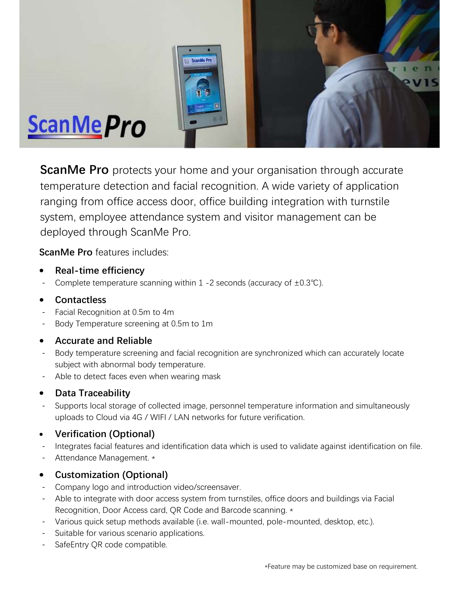

**ScanMe Pro** protects your home and your organisation through accurate temperature detection and facial recognition. A wide variety of application ranging from office access door, office building integration with turnstile system, employee attendance system and visitor management can be deployed through ScanMe Pro.

ScanMe Pro features includes:

- Real-time efficiency
- Complete temperature scanning within 1 -2 seconds (accuracy of  $\pm 0.3^{\circ}$ C).

# Contactless

- Facial Recognition at 0.5m to 4m
- Body Temperature screening at 0.5m to 1m

# Accurate and Reliable

- Body temperature screening and facial recognition are synchronized which can accurately locate subject with abnormal body temperature.
- Able to detect faces even when wearing mask

# • Data Traceability

- Supports local storage of collected image, personnel temperature information and simultaneously uploads to Cloud via 4G / WIFI / LAN networks for future verification.

# Verification (Optional)

- Integrates facial features and identification data which is used to validate against identification on file.
- Attendance Management. \*

# Customization (Optional)

- Company logo and introduction video/screensaver.
- Able to integrate with door access system from turnstiles, office doors and buildings via Facial Recognition, Door Access card, QR Code and Barcode scanning. \*
- Various quick setup methods available (i.e. wall-mounted, pole-mounted, desktop, etc.).
- Suitable for various scenario applications.
- SafeEntry QR code compatible.